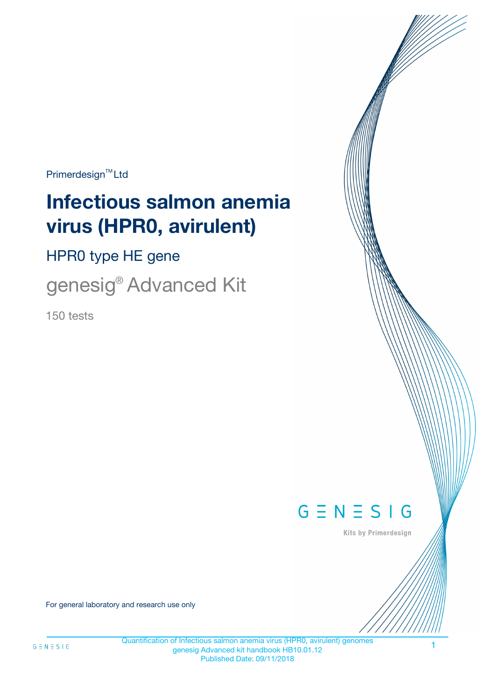$Primerdesign^{\text{TM}}Ltd$ 

# **Infectious salmon anemia virus (HPR0, avirulent)**

HPR0 type HE gene

genesig® Advanced Kit

150 tests



Kits by Primerdesign

For general laboratory and research use only

1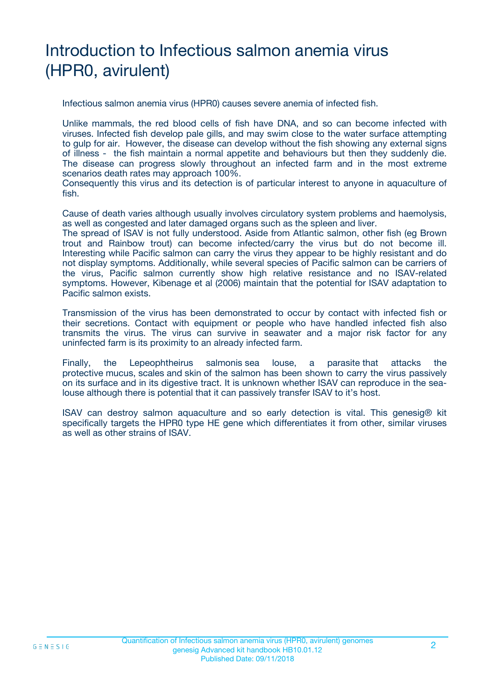# Introduction to Infectious salmon anemia virus (HPR0, avirulent)

Infectious salmon anemia virus (HPR0) causes severe anemia of infected fish.

Unlike mammals, the red blood cells of fish have DNA, and so can become infected with viruses. Infected fish develop pale gills, and may swim close to the water surface attempting to gulp for air. However, the disease can develop without the fish showing any external signs of illness - the fish maintain a normal appetite and behaviours but then they suddenly die. The disease can progress slowly throughout an infected farm and in the most extreme scenarios death rates may approach 100%.

Consequently this virus and its detection is of particular interest to anyone in aquaculture of fish.

Cause of death varies although usually involves circulatory system problems and haemolysis, as well as congested and later damaged organs such as the spleen and liver.

The spread of ISAV is not fully understood. Aside from Atlantic salmon, other fish (eg Brown trout and Rainbow trout) can become infected/carry the virus but do not become ill. Interesting while Pacific salmon can carry the virus they appear to be highly resistant and do not display symptoms. Additionally, while several species of Pacific salmon can be carriers of the virus, Pacific salmon currently show high relative resistance and no ISAV-related symptoms. However, Kibenage et al (2006) maintain that the potential for ISAV adaptation to Pacific salmon exists.

Transmission of the virus has been demonstrated to occur by contact with infected fish or their secretions. Contact with equipment or people who have handled infected fish also transmits the virus. The virus can survive in seawater and a major risk factor for any uninfected farm is its proximity to an already infected farm.

Finally, the Lepeophtheirus salmonis sea louse, a parasite that attacks the protective mucus, scales and skin of the salmon has been shown to carry the virus passively on its surface and in its digestive tract. It is unknown whether ISAV can reproduce in the sealouse although there is potential that it can passively transfer ISAV to it's host.

ISAV can destroy salmon aquaculture and so early detection is vital. This genesig® kit specifically targets the HPR0 type HE gene which differentiates it from other, similar viruses as well as other strains of ISAV.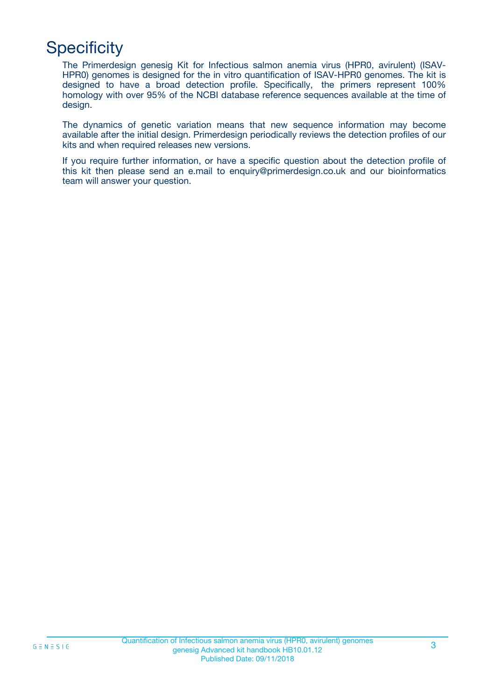# **Specificity**

The Primerdesign genesig Kit for Infectious salmon anemia virus (HPR0, avirulent) (ISAV-HPR0) genomes is designed for the in vitro quantification of ISAV-HPR0 genomes. The kit is designed to have a broad detection profile. Specifically, the primers represent 100% homology with over 95% of the NCBI database reference sequences available at the time of design.

The dynamics of genetic variation means that new sequence information may become available after the initial design. Primerdesign periodically reviews the detection profiles of our kits and when required releases new versions.

If you require further information, or have a specific question about the detection profile of this kit then please send an e.mail to enquiry@primerdesign.co.uk and our bioinformatics team will answer your question.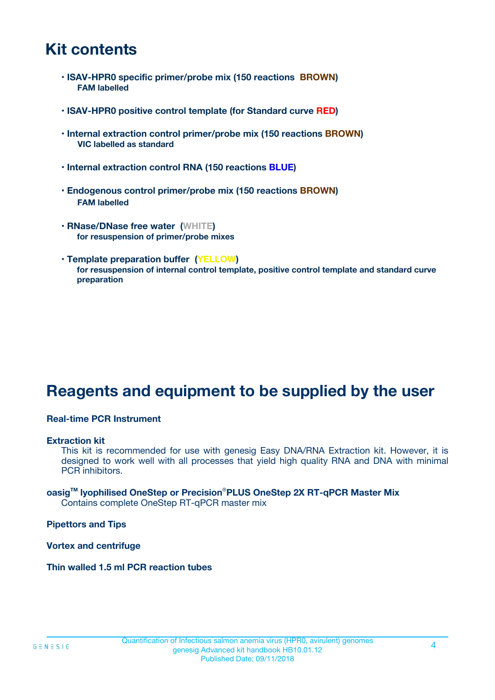### **Kit contents**

- **ISAV-HPR0 specific primer/probe mix (150 reactions BROWN) FAM labelled**
- **ISAV-HPR0 positive control template (for Standard curve RED)**
- **Internal extraction control primer/probe mix (150 reactions BROWN) VIC labelled as standard**
- **Internal extraction control RNA (150 reactions BLUE)**
- **Endogenous control primer/probe mix (150 reactions BROWN) FAM labelled**
- **RNase/DNase free water (WHITE) for resuspension of primer/probe mixes**
- **Template preparation buffer (YELLOW) for resuspension of internal control template, positive control template and standard curve preparation**

### **Reagents and equipment to be supplied by the user**

#### **Real-time PCR Instrument**

#### **Extraction kit**

This kit is recommended for use with genesig Easy DNA/RNA Extraction kit. However, it is designed to work well with all processes that yield high quality RNA and DNA with minimal PCR inhibitors.

#### **oasigTM lyophilised OneStep or Precision**®**PLUS OneStep 2X RT-qPCR Master Mix** Contains complete OneStep RT-qPCR master mix

**Pipettors and Tips**

**Vortex and centrifuge**

**Thin walled 1.5 ml PCR reaction tubes**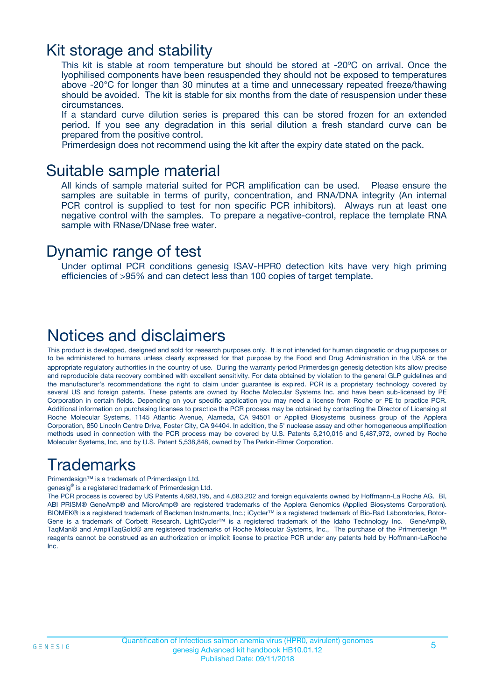### Kit storage and stability

This kit is stable at room temperature but should be stored at -20ºC on arrival. Once the lyophilised components have been resuspended they should not be exposed to temperatures above -20°C for longer than 30 minutes at a time and unnecessary repeated freeze/thawing should be avoided. The kit is stable for six months from the date of resuspension under these circumstances.

If a standard curve dilution series is prepared this can be stored frozen for an extended period. If you see any degradation in this serial dilution a fresh standard curve can be prepared from the positive control.

Primerdesign does not recommend using the kit after the expiry date stated on the pack.

### Suitable sample material

All kinds of sample material suited for PCR amplification can be used. Please ensure the samples are suitable in terms of purity, concentration, and RNA/DNA integrity (An internal PCR control is supplied to test for non specific PCR inhibitors). Always run at least one negative control with the samples. To prepare a negative-control, replace the template RNA sample with RNase/DNase free water.

### Dynamic range of test

Under optimal PCR conditions genesig ISAV-HPR0 detection kits have very high priming efficiencies of >95% and can detect less than 100 copies of target template.

### Notices and disclaimers

This product is developed, designed and sold for research purposes only. It is not intended for human diagnostic or drug purposes or to be administered to humans unless clearly expressed for that purpose by the Food and Drug Administration in the USA or the appropriate regulatory authorities in the country of use. During the warranty period Primerdesign genesig detection kits allow precise and reproducible data recovery combined with excellent sensitivity. For data obtained by violation to the general GLP guidelines and the manufacturer's recommendations the right to claim under guarantee is expired. PCR is a proprietary technology covered by several US and foreign patents. These patents are owned by Roche Molecular Systems Inc. and have been sub-licensed by PE Corporation in certain fields. Depending on your specific application you may need a license from Roche or PE to practice PCR. Additional information on purchasing licenses to practice the PCR process may be obtained by contacting the Director of Licensing at Roche Molecular Systems, 1145 Atlantic Avenue, Alameda, CA 94501 or Applied Biosystems business group of the Applera Corporation, 850 Lincoln Centre Drive, Foster City, CA 94404. In addition, the 5' nuclease assay and other homogeneous amplification methods used in connection with the PCR process may be covered by U.S. Patents 5,210,015 and 5,487,972, owned by Roche Molecular Systems, Inc, and by U.S. Patent 5,538,848, owned by The Perkin-Elmer Corporation.

### Trademarks

Primerdesign™ is a trademark of Primerdesign Ltd.

genesig® is a registered trademark of Primerdesign Ltd.

The PCR process is covered by US Patents 4,683,195, and 4,683,202 and foreign equivalents owned by Hoffmann-La Roche AG. BI, ABI PRISM® GeneAmp® and MicroAmp® are registered trademarks of the Applera Genomics (Applied Biosystems Corporation). BIOMEK® is a registered trademark of Beckman Instruments, Inc.; iCycler™ is a registered trademark of Bio-Rad Laboratories, Rotor-Gene is a trademark of Corbett Research. LightCycler™ is a registered trademark of the Idaho Technology Inc. GeneAmp®, TaqMan® and AmpliTaqGold® are registered trademarks of Roche Molecular Systems, Inc., The purchase of the Primerdesign ™ reagents cannot be construed as an authorization or implicit license to practice PCR under any patents held by Hoffmann-LaRoche Inc.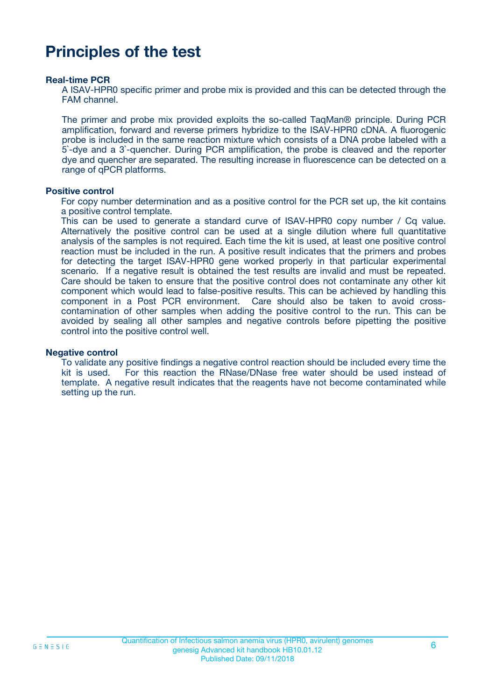### **Principles of the test**

#### **Real-time PCR**

A ISAV-HPR0 specific primer and probe mix is provided and this can be detected through the FAM channel.

The primer and probe mix provided exploits the so-called TaqMan® principle. During PCR amplification, forward and reverse primers hybridize to the ISAV-HPR0 cDNA. A fluorogenic probe is included in the same reaction mixture which consists of a DNA probe labeled with a 5`-dye and a 3`-quencher. During PCR amplification, the probe is cleaved and the reporter dye and quencher are separated. The resulting increase in fluorescence can be detected on a range of qPCR platforms.

#### **Positive control**

For copy number determination and as a positive control for the PCR set up, the kit contains a positive control template.

This can be used to generate a standard curve of ISAV-HPR0 copy number / Cq value. Alternatively the positive control can be used at a single dilution where full quantitative analysis of the samples is not required. Each time the kit is used, at least one positive control reaction must be included in the run. A positive result indicates that the primers and probes for detecting the target ISAV-HPR0 gene worked properly in that particular experimental scenario. If a negative result is obtained the test results are invalid and must be repeated. Care should be taken to ensure that the positive control does not contaminate any other kit component which would lead to false-positive results. This can be achieved by handling this component in a Post PCR environment. Care should also be taken to avoid crosscontamination of other samples when adding the positive control to the run. This can be avoided by sealing all other samples and negative controls before pipetting the positive control into the positive control well.

#### **Negative control**

To validate any positive findings a negative control reaction should be included every time the kit is used. For this reaction the RNase/DNase free water should be used instead of template. A negative result indicates that the reagents have not become contaminated while setting up the run.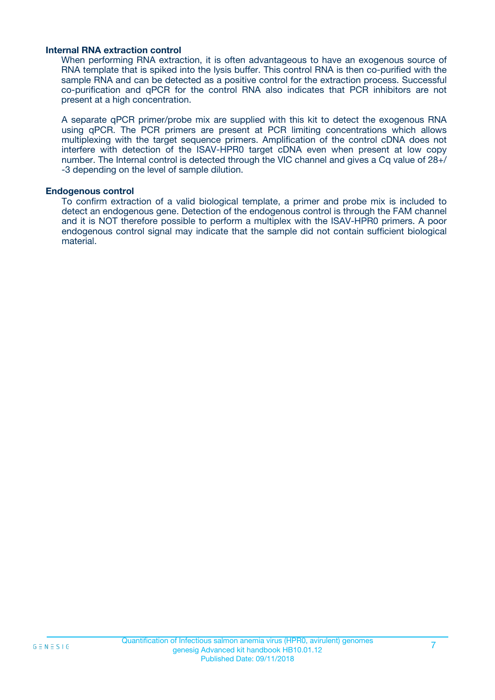#### **Internal RNA extraction control**

When performing RNA extraction, it is often advantageous to have an exogenous source of RNA template that is spiked into the lysis buffer. This control RNA is then co-purified with the sample RNA and can be detected as a positive control for the extraction process. Successful co-purification and qPCR for the control RNA also indicates that PCR inhibitors are not present at a high concentration.

A separate qPCR primer/probe mix are supplied with this kit to detect the exogenous RNA using qPCR. The PCR primers are present at PCR limiting concentrations which allows multiplexing with the target sequence primers. Amplification of the control cDNA does not interfere with detection of the ISAV-HPR0 target cDNA even when present at low copy number. The Internal control is detected through the VIC channel and gives a Cq value of 28+/ -3 depending on the level of sample dilution.

#### **Endogenous control**

To confirm extraction of a valid biological template, a primer and probe mix is included to detect an endogenous gene. Detection of the endogenous control is through the FAM channel and it is NOT therefore possible to perform a multiplex with the ISAV-HPR0 primers. A poor endogenous control signal may indicate that the sample did not contain sufficient biological material.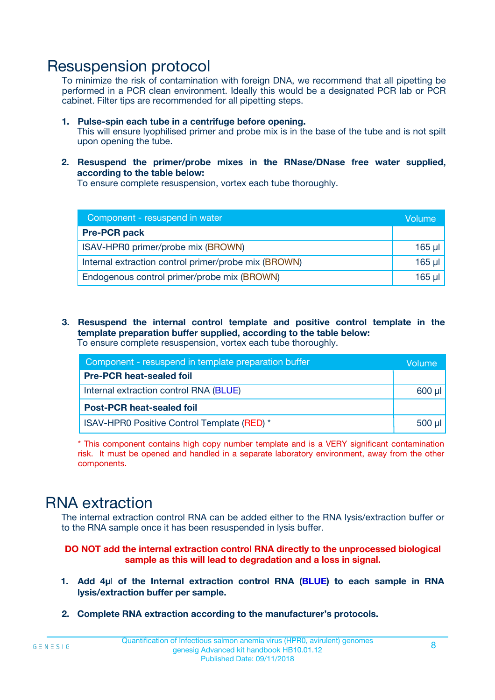### Resuspension protocol

To minimize the risk of contamination with foreign DNA, we recommend that all pipetting be performed in a PCR clean environment. Ideally this would be a designated PCR lab or PCR cabinet. Filter tips are recommended for all pipetting steps.

- **1. Pulse-spin each tube in a centrifuge before opening.** This will ensure lyophilised primer and probe mix is in the base of the tube and is not spilt upon opening the tube.
- **2. Resuspend the primer/probe mixes in the RNase/DNase free water supplied, according to the table below:**

To ensure complete resuspension, vortex each tube thoroughly.

| Component - resuspend in water                       |          |  |
|------------------------------------------------------|----------|--|
| <b>Pre-PCR pack</b>                                  |          |  |
| ISAV-HPR0 primer/probe mix (BROWN)                   | $165$ µl |  |
| Internal extraction control primer/probe mix (BROWN) | $165$ µl |  |
| Endogenous control primer/probe mix (BROWN)          | 165 µl   |  |

**3. Resuspend the internal control template and positive control template in the template preparation buffer supplied, according to the table below:** To ensure complete resuspension, vortex each tube thoroughly.

| Component - resuspend in template preparation buffer |             |  |  |
|------------------------------------------------------|-------------|--|--|
| <b>Pre-PCR heat-sealed foil</b>                      |             |  |  |
| Internal extraction control RNA (BLUE)               |             |  |  |
| <b>Post-PCR heat-sealed foil</b>                     |             |  |  |
| ISAV-HPR0 Positive Control Template (RED) *          | $500$ $\mu$ |  |  |

\* This component contains high copy number template and is a VERY significant contamination risk. It must be opened and handled in a separate laboratory environment, away from the other components.

### RNA extraction

The internal extraction control RNA can be added either to the RNA lysis/extraction buffer or to the RNA sample once it has been resuspended in lysis buffer.

**DO NOT add the internal extraction control RNA directly to the unprocessed biological sample as this will lead to degradation and a loss in signal.**

- **1. Add 4µ**l **of the Internal extraction control RNA (BLUE) to each sample in RNA lysis/extraction buffer per sample.**
- **2. Complete RNA extraction according to the manufacturer's protocols.**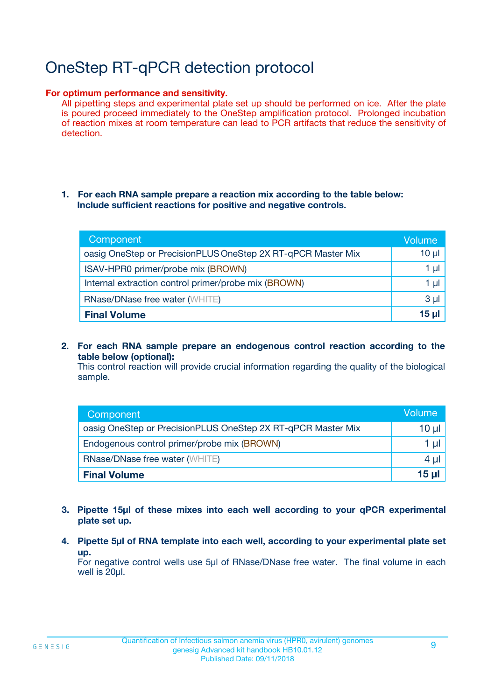# OneStep RT-qPCR detection protocol

#### **For optimum performance and sensitivity.**

All pipetting steps and experimental plate set up should be performed on ice. After the plate is poured proceed immediately to the OneStep amplification protocol. Prolonged incubation of reaction mixes at room temperature can lead to PCR artifacts that reduce the sensitivity of detection.

#### **1. For each RNA sample prepare a reaction mix according to the table below: Include sufficient reactions for positive and negative controls.**

| Component                                                    | Volume   |
|--------------------------------------------------------------|----------|
| oasig OneStep or PrecisionPLUS OneStep 2X RT-qPCR Master Mix | $10 \mu$ |
| ISAV-HPR0 primer/probe mix (BROWN)                           | 1 µl     |
| Internal extraction control primer/probe mix (BROWN)         | 1 µI     |
| <b>RNase/DNase free water (WHITE)</b>                        | $3 \mu$  |
| <b>Final Volume</b>                                          | 15 ul    |

**2. For each RNA sample prepare an endogenous control reaction according to the table below (optional):**

This control reaction will provide crucial information regarding the quality of the biological sample.

| Component                                                    | Volume          |
|--------------------------------------------------------------|-----------------|
| oasig OneStep or PrecisionPLUS OneStep 2X RT-qPCR Master Mix | 10 µl           |
| Endogenous control primer/probe mix (BROWN)                  | 1 µl            |
| <b>RNase/DNase free water (WHITE)</b>                        | $4 \mu$         |
| <b>Final Volume</b>                                          | $15$ µl $\vert$ |

- **3. Pipette 15µl of these mixes into each well according to your qPCR experimental plate set up.**
- **4. Pipette 5µl of RNA template into each well, according to your experimental plate set up.**

For negative control wells use 5µl of RNase/DNase free water. The final volume in each well is 20µl.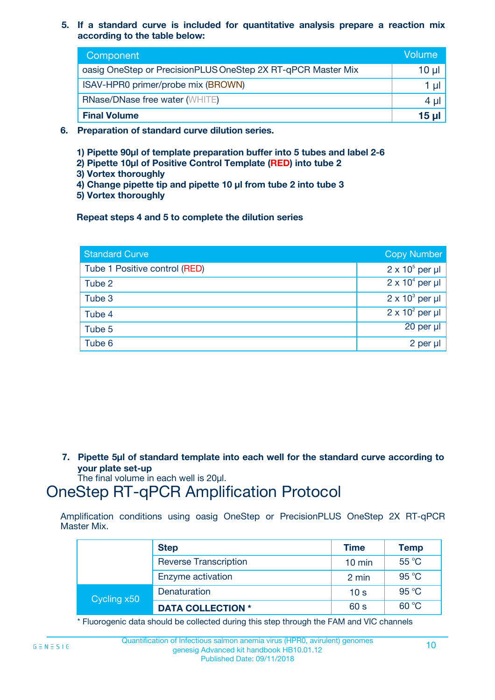**5. If a standard curve is included for quantitative analysis prepare a reaction mix according to the table below:**

| Component                                                    | Volume       |
|--------------------------------------------------------------|--------------|
| oasig OneStep or PrecisionPLUS OneStep 2X RT-qPCR Master Mix | 10 µl        |
| ISAV-HPR0 primer/probe mix (BROWN)                           |              |
| <b>RNase/DNase free water (WHITE)</b>                        | 4 U          |
| <b>Final Volume</b>                                          | <u>15 µl</u> |

- **6. Preparation of standard curve dilution series.**
	- **1) Pipette 90µl of template preparation buffer into 5 tubes and label 2-6**
	- **2) Pipette 10µl of Positive Control Template (RED) into tube 2**
	- **3) Vortex thoroughly**
	- **4) Change pipette tip and pipette 10 µl from tube 2 into tube 3**
	- **5) Vortex thoroughly**

**Repeat steps 4 and 5 to complete the dilution series**

| <b>Standard Curve</b>         | <b>Copy Number</b>     |
|-------------------------------|------------------------|
| Tube 1 Positive control (RED) | $2 \times 10^5$ per µl |
| Tube 2                        | $2 \times 10^4$ per µl |
| Tube 3                        | $2 \times 10^3$ per µl |
| Tube 4                        | $2 \times 10^2$ per µl |
| Tube 5                        | 20 per µl              |
| Tube 6                        | $2$ per $\mu$          |

**7. Pipette 5µl of standard template into each well for the standard curve according to your plate set-up**

The final volume in each well is 20µl.

### OneStep RT-qPCR Amplification Protocol

Amplification conditions using oasig OneStep or PrecisionPLUS OneStep 2X RT-qPCR Master Mix.

|             | <b>Step</b>                  | <b>Time</b>      | <b>Temp</b>    |
|-------------|------------------------------|------------------|----------------|
|             | <b>Reverse Transcription</b> | $10 \text{ min}$ | $55^{\circ}$ C |
|             | Enzyme activation            | 2 min            | 95 °C          |
| Cycling x50 | Denaturation                 | 10 <sub>s</sub>  | 95 °C          |
|             | <b>DATA COLLECTION *</b>     | 60 s             | 60 °C          |

\* Fluorogenic data should be collected during this step through the FAM and VIC channels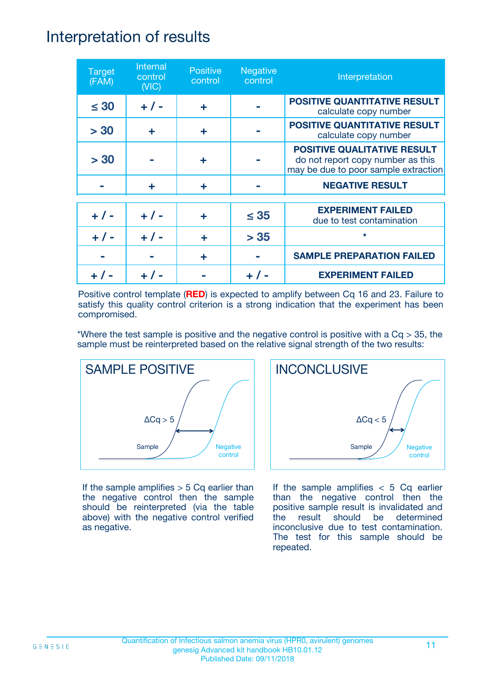### Interpretation of results

| <b>Target</b><br>(FAM) | Internal<br>control<br>(NIC) | <b>Positive</b><br>control | <b>Negative</b><br>control | Interpretation                                                                                                  |
|------------------------|------------------------------|----------------------------|----------------------------|-----------------------------------------------------------------------------------------------------------------|
| $\leq 30$              | $+ 1 -$                      | ÷                          |                            | <b>POSITIVE QUANTITATIVE RESULT</b><br>calculate copy number                                                    |
| > 30                   | ÷                            | ÷                          |                            | <b>POSITIVE QUANTITATIVE RESULT</b><br>calculate copy number                                                    |
| > 30                   |                              | ÷                          |                            | <b>POSITIVE QUALITATIVE RESULT</b><br>do not report copy number as this<br>may be due to poor sample extraction |
|                        | ÷                            | ÷                          |                            | <b>NEGATIVE RESULT</b>                                                                                          |
| $+ 1 -$                | $+ 1 -$                      | ÷                          | $\leq$ 35                  | <b>EXPERIMENT FAILED</b><br>due to test contamination                                                           |
|                        | $+$ / -                      |                            | > 35                       | $\star$                                                                                                         |
|                        |                              | ÷                          |                            | <b>SAMPLE PREPARATION FAILED</b>                                                                                |
|                        |                              |                            |                            | <b>EXPERIMENT FAILED</b>                                                                                        |

Positive control template (**RED**) is expected to amplify between Cq 16 and 23. Failure to satisfy this quality control criterion is a strong indication that the experiment has been compromised.

\*Where the test sample is positive and the negative control is positive with a  $Cq > 35$ , the sample must be reinterpreted based on the relative signal strength of the two results:



If the sample amplifies  $> 5$  Cq earlier than the negative control then the sample should be reinterpreted (via the table above) with the negative control verified as negative.



If the sample amplifies  $< 5$  Cq earlier than the negative control then the positive sample result is invalidated and the result should be determined inconclusive due to test contamination. The test for this sample should be repeated.